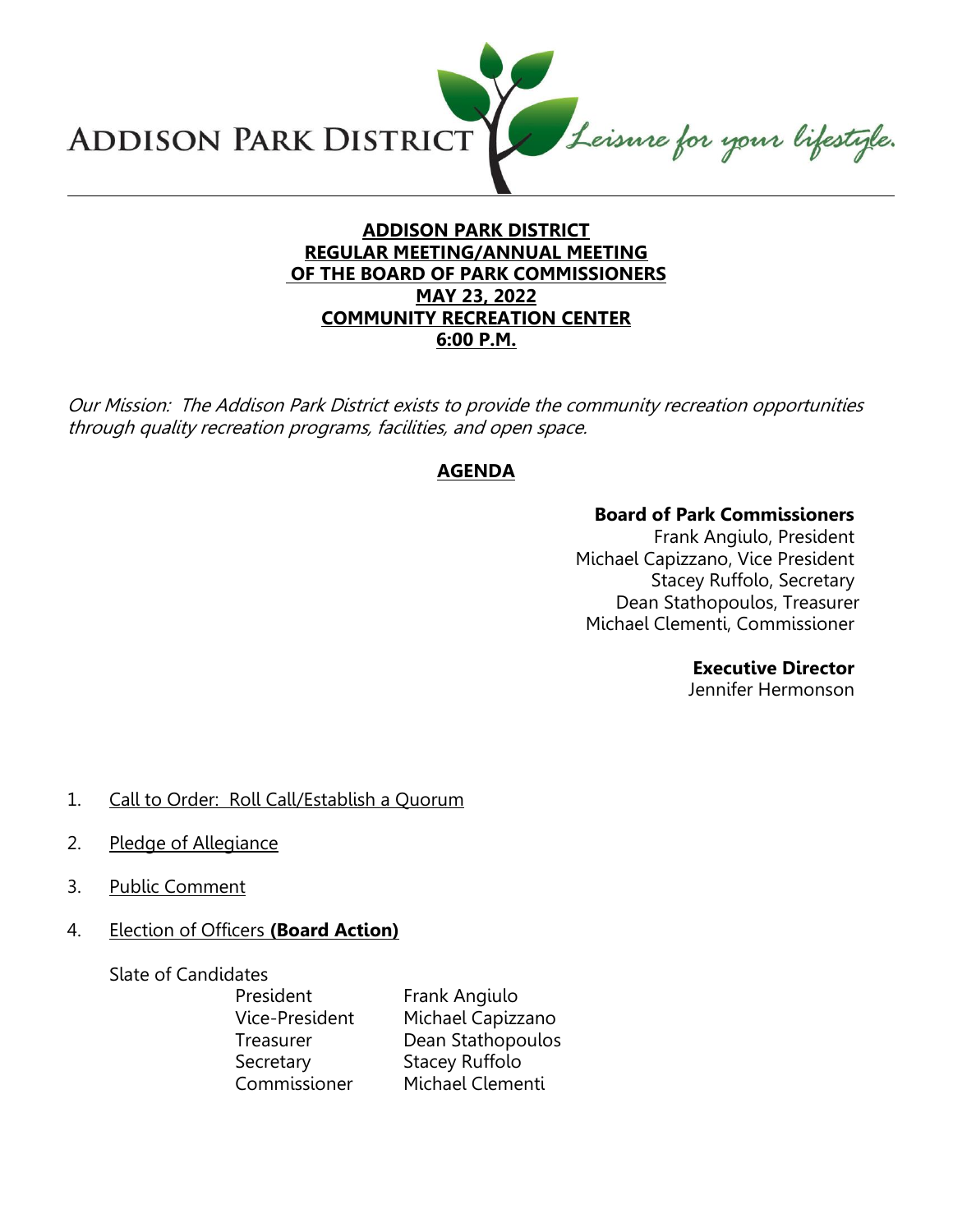Leisure for your lifestyle. **ADDISON PARK DISTRICT** 

## **ADDISON PARK DISTRICT REGULAR MEETING/ANNUAL MEETING OF THE BOARD OF PARK COMMISSIONERS MAY 23, 2022 COMMUNITY RECREATION CENTER 6:00 P.M.**

Our Mission: The Addison Park District exists to provide the community recreation opportunities through quality recreation programs, facilities, and open space.

# **AGENDA**

#### **Board of Park Commissioners**

Frank Angiulo, President Michael Capizzano, Vice President Stacey Ruffolo, Secretary Dean Stathopoulos, Treasurer Michael Clementi, Commissioner

## **Executive Director**

Jennifer Hermonson

- 1. Call to Order: Roll Call/Establish a Quorum
- 2. Pledge of Allegiance
- 3. Public Comment
- 4. Election of Officers **(Board Action)**

Slate of Candidates

President Frank Angiulo Vice-President Michael Capizzano Treasurer Dean Stathopoulos Secretary Stacey Ruffolo Commissioner Michael Clementi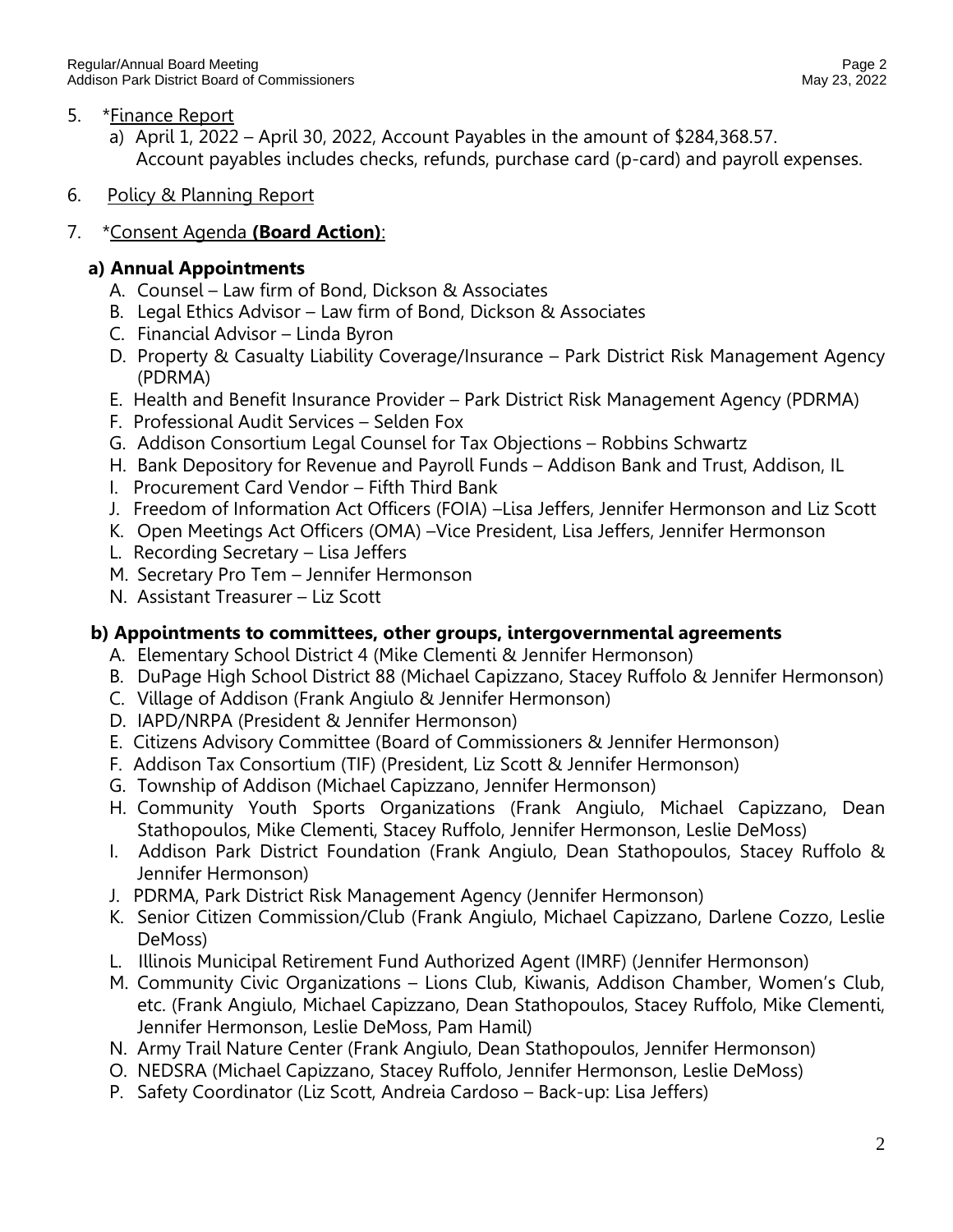## 5. \*Finance Report

- a) April 1, 2022 April 30, 2022, Account Payables in the amount of \$284,368.57. Account payables includes checks, refunds, purchase card (p-card) and payroll expenses.
- 6. Policy & Planning Report

## 7. \*Consent Agenda **(Board Action)**:

## **a) Annual Appointments**

- A. Counsel Law firm of Bond, Dickson & Associates
- B. Legal Ethics Advisor Law firm of Bond, Dickson & Associates
- C. Financial Advisor Linda Byron
- D. Property & Casualty Liability Coverage/Insurance Park District Risk Management Agency (PDRMA)
- E. Health and Benefit Insurance Provider Park District Risk Management Agency (PDRMA)
- F. Professional Audit Services Selden Fox
- G. Addison Consortium Legal Counsel for Tax Objections Robbins Schwartz
- H. Bank Depository for Revenue and Payroll Funds Addison Bank and Trust, Addison, IL
- I. Procurement Card Vendor Fifth Third Bank
- J. Freedom of Information Act Officers (FOIA) –Lisa Jeffers, Jennifer Hermonson and Liz Scott
- K. Open Meetings Act Officers (OMA) –Vice President, Lisa Jeffers, Jennifer Hermonson
- L. Recording Secretary Lisa Jeffers
- M. Secretary Pro Tem Jennifer Hermonson
- N. Assistant Treasurer Liz Scott

#### **b) Appointments to committees, other groups, intergovernmental agreements**

- A. Elementary School District 4 (Mike Clementi & Jennifer Hermonson)
- B. DuPage High School District 88 (Michael Capizzano, Stacey Ruffolo & Jennifer Hermonson)
- C. Village of Addison (Frank Angiulo & Jennifer Hermonson)
- D. IAPD/NRPA (President & Jennifer Hermonson)
- E. Citizens Advisory Committee (Board of Commissioners & Jennifer Hermonson)
- F. Addison Tax Consortium (TIF) (President, Liz Scott & Jennifer Hermonson)
- G. Township of Addison (Michael Capizzano, Jennifer Hermonson)
- H. Community Youth Sports Organizations (Frank Angiulo, Michael Capizzano, Dean Stathopoulos, Mike Clementi, Stacey Ruffolo, Jennifer Hermonson, Leslie DeMoss)
- I. Addison Park District Foundation (Frank Angiulo, Dean Stathopoulos, Stacey Ruffolo & Jennifer Hermonson)
- J. PDRMA, Park District Risk Management Agency (Jennifer Hermonson)
- K. Senior Citizen Commission/Club (Frank Angiulo, Michael Capizzano, Darlene Cozzo, Leslie DeMoss)
- L. Illinois Municipal Retirement Fund Authorized Agent (IMRF) (Jennifer Hermonson)
- M. Community Civic Organizations Lions Club, Kiwanis, Addison Chamber, Women's Club, etc. (Frank Angiulo, Michael Capizzano, Dean Stathopoulos, Stacey Ruffolo, Mike Clementi, Jennifer Hermonson, Leslie DeMoss, Pam Hamil)
- N. Army Trail Nature Center (Frank Angiulo, Dean Stathopoulos, Jennifer Hermonson)
- O. NEDSRA (Michael Capizzano, Stacey Ruffolo, Jennifer Hermonson, Leslie DeMoss)
- P. Safety Coordinator (Liz Scott, Andreia Cardoso Back-up: Lisa Jeffers)